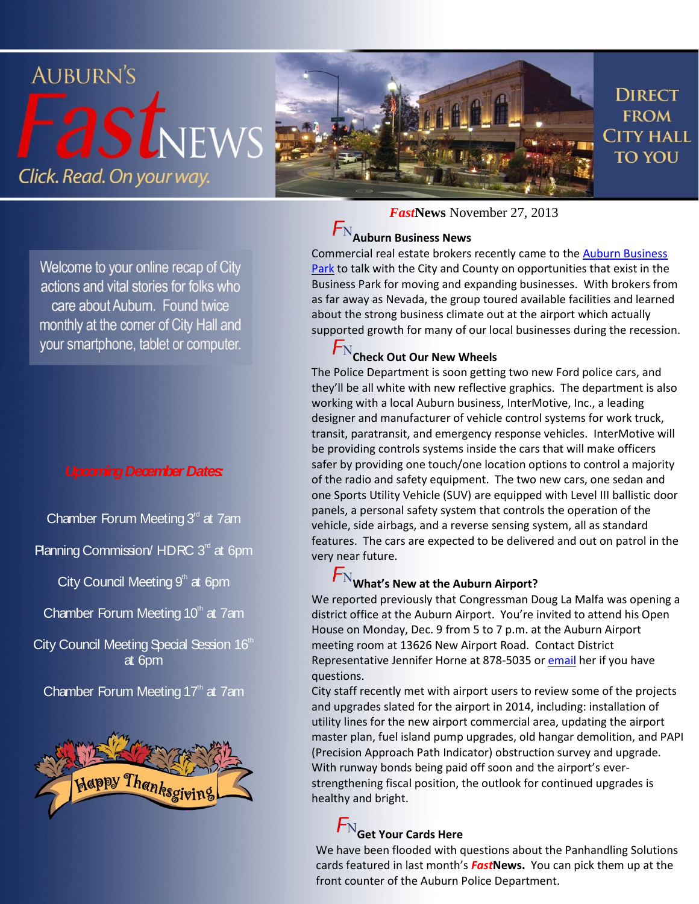#### **AUBURN'S DIRECT asLNEWS FROM CITY HALL TO YOU** Click. Read. On your way.

Welcome to your online recap of City actions and vital stories for folks who care about Auburn. Found twice monthly at the corner of City Hall and your smartphone, tablet or computer.

#### *Upcoming December Dates:*

Chamber Forum Meeting  $3<sup>rd</sup>$  at 7am

Planning Commission/ HDRC  $3<sup>rd</sup>$  at 6pm

City Council Meeting  $9<sup>th</sup>$  at 6pm

Chamber Forum Meeting  $10<sup>th</sup>$  at 7am

City Council Meeting Special Session 16th at 6pm

Chamber Forum Meeting  $17<sup>th</sup>$  at 7am



*Fast***News** November 27, 2013

# **Auburn Business News**

Commercial real estate brokers recently came to th[e Auburn Business](http://youtu.be/B85E3YCDAhg)  [Park](http://youtu.be/B85E3YCDAhg) to talk with the City and County on opportunities that exist in the Business Park for moving and expanding businesses. With brokers from as far away as Nevada, the group toured available facilities and learned about the strong business climate out at the airport which actually supported growth for many of our local businesses during the recession.

## **Check Out Our New Wheels**

The Police Department is soon getting two new Ford police cars, and they'll be all white with new reflective graphics. The department is also working with a local Auburn business, InterMotive, Inc., a leading designer and manufacturer of vehicle control systems for work truck, transit, paratransit, and emergency response vehicles. InterMotive will be providing controls systems inside the cars that will make officers safer by providing one touch/one location options to control a majority of the radio and safety equipment. The two new cars, one sedan and one Sports Utility Vehicle (SUV) are equipped with Level III ballistic door panels, a personal safety system that controls the operation of the vehicle, side airbags, and a reverse sensing system, all as standard features. The cars are expected to be delivered and out on patrol in the very near future.

### $F_{\rm N}$ What's New at the Auburn Airport?

We reported previously that Congressman Doug La Malfa was opening a district office at the Auburn Airport. You're invited to attend his Open House on Monday, Dec. 9 from 5 to 7 p.m. at the Auburn Airport meeting room at 13626 New Airport Road. Contact District Representative Jennifer Horne at 878-5035 or [email](mailto:Jennifer.Horne@mail.house.gov) her if you have questions.

City staff recently met with airport users to review some of the projects and upgrades slated for the airport in 2014, including: installation of utility lines for the new airport commercial area, updating the airport master plan, fuel island pump upgrades, old hangar demolition, and PAPI (Precision Approach Path Indicator) obstruction survey and upgrade. With runway bonds being paid off soon and the airport's everstrengthening fiscal position, the outlook for continued upgrades is healthy and bright.

## $F_{\rm N}$  Get Your Cards Here

We have been flooded with questions about the Panhandling Solutions cards featured in last month's *Fast***News.** You can pick them up at the front counter of the Auburn Police Department.